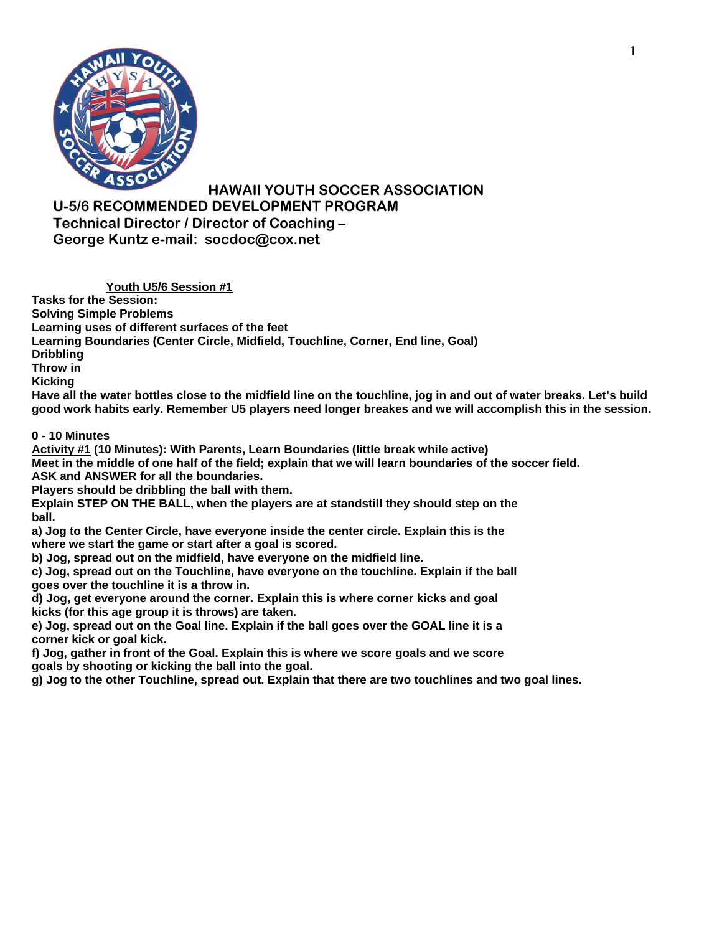

**U-5/6 RECOMMENDED DEVELOPMENT PROGRAM Technical Director / Director of Coaching – George Kuntz e-mail: socdoc@cox.net** 

**Youth U5/6 Session #1** 

**Tasks for the Session: Solving Simple Problems** 

**Learning uses of different surfaces of the feet** 

**Learning Boundaries (Center Circle, Midfield, Touchline, Corner, End line, Goal)** 

**Dribbling** 

**Throw in** 

**Kicking** 

**Have all the water bottles close to the midfield line on the touchline, jog in and out of water breaks. Let's build good work habits early. Remember U5 players need longer breakes and we will accomplish this in the session.** 

**0 - 10 Minutes** 

**Activity #1 (10 Minutes): With Parents, Learn Boundaries (little break while active)** 

**Meet in the middle of one half of the field; explain that we will learn boundaries of the soccer field. ASK and ANSWER for all the boundaries.** 

**Players should be dribbling the ball with them.** 

**Explain STEP ON THE BALL, when the players are at standstill they should step on the ball.** 

**a) Jog to the Center Circle, have everyone inside the center circle. Explain this is the where we start the game or start after a goal is scored.** 

**b) Jog, spread out on the midfield, have everyone on the midfield line.** 

**c) Jog, spread out on the Touchline, have everyone on the touchline. Explain if the ball goes over the touchline it is a throw in.** 

**d) Jog, get everyone around the corner. Explain this is where corner kicks and goal kicks (for this age group it is throws) are taken.** 

**e) Jog, spread out on the Goal line. Explain if the ball goes over the GOAL line it is a corner kick or goal kick.** 

**f) Jog, gather in front of the Goal. Explain this is where we score goals and we score goals by shooting or kicking the ball into the goal.** 

**g) Jog to the other Touchline, spread out. Explain that there are two touchlines and two goal lines.**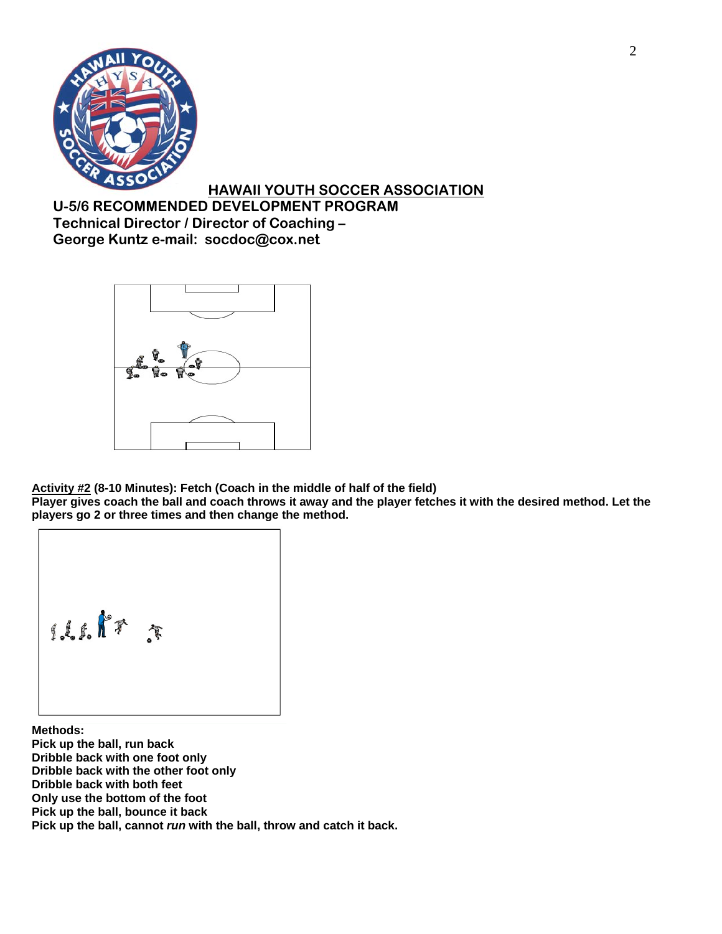

**U-5/6 RECOMMENDED DEVELOPMENT PROGRAM Technical Director / Director of Coaching – George Kuntz e-mail: socdoc@cox.net** 



**Activity #2 (8-10 Minutes): Fetch (Coach in the middle of half of the field)** 

**Player gives coach the ball and coach throws it away and the player fetches it with the desired method. Let the players go 2 or three times and then change the method.** 

usk+ r

**Methods: Pick up the ball, run back Dribble back with one foot only Dribble back with the other foot only Dribble back with both feet Only use the bottom of the foot Pick up the ball, bounce it back Pick up the ball, cannot** *run* **with the ball, throw and catch it back.**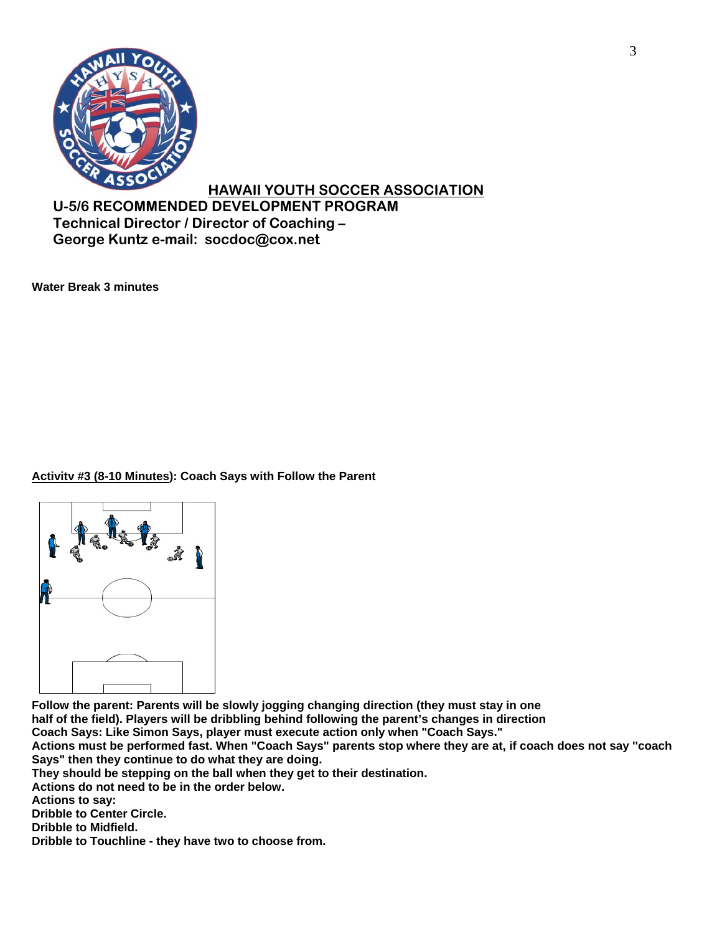

**U-5/6 RECOMMENDED DEVELOPMENT PROGRAM Technical Director / Director of Coaching – George Kuntz e-mail: socdoc@cox.net** 

**Water Break 3 minutes** 

### **Activitv #3 (8-10 Minutes): Coach Says with Follow the Parent**



**Follow the parent: Parents will be slowly jogging changing direction (they must stay in one half of the field). Players will be dribbling behind following the parent's changes in direction** 

**Coach Says: Like Simon Says, player must execute action only when "Coach Says."** 

**Actions must be performed fast. When "Coach Says" parents stop where they are at, if coach does not say ''coach Says" then they continue to do what they are doing.** 

**They should be stepping on the ball when they get to their destination.** 

**Actions do not need to be in the order below.** 

**Actions to say:** 

**Dribble to Center Circle.** 

**Dribble to Midfield.** 

**Dribble to Touchline - they have two to choose from.**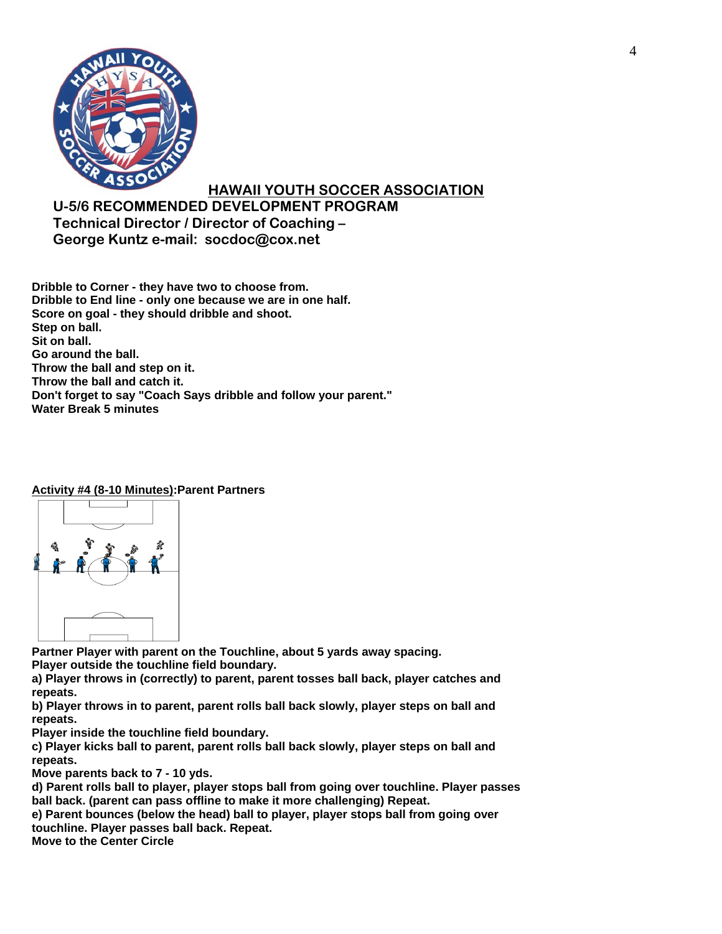

**U-5/6 RECOMMENDED DEVELOPMENT PROGRAM Technical Director / Director of Coaching – George Kuntz e-mail: socdoc@cox.net** 

**Dribble to Corner - they have two to choose from. Dribble to End line - only one because we are in one half. Score on goal - they should dribble and shoot. Step on ball. Sit on ball. Go around the ball. Throw the ball and step on it. Throw the ball and catch it. Don't forget to say "Coach Says dribble and follow your parent." Water Break 5 minutes** 

#### **Activity #4 (8-10 Minutes):Parent Partners**



**Partner Player with parent on the Touchline, about 5 yards away spacing. Player outside the touchline field boundary.** 

**a) Player throws in (correctly) to parent, parent tosses ball back, player catches and repeats.** 

**b) Player throws in to parent, parent rolls ball back slowly, player steps on ball and repeats.** 

**Player inside the touchline field boundary.** 

**c) Player kicks ball to parent, parent rolls ball back slowly, player steps on ball and repeats.** 

**Move parents back to 7 - 10 yds.** 

**d) Parent rolls ball to player, player stops ball from going over touchline. Player passes ball back. (parent can pass offline to make it more challenging) Repeat.** 

**e) Parent bounces (below the head) ball to player, player stops ball from going over touchline. Player passes ball back. Repeat.** 

**Move to the Center Circle**